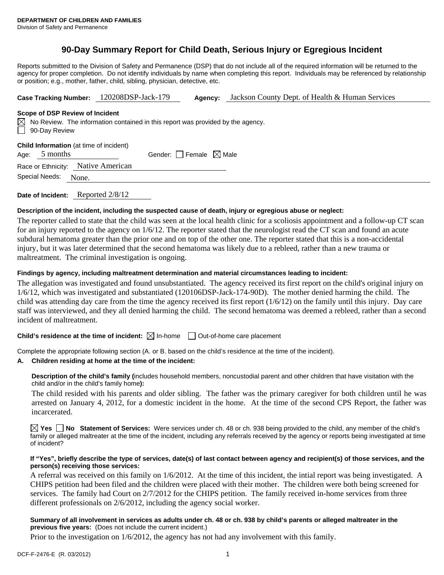# **90-Day Summary Report for Child Death, Serious Injury or Egregious Incident**

Reports submitted to the Division of Safety and Permanence (DSP) that do not include all of the required information will be returned to the agency for proper completion. Do not identify individuals by name when completing this report. Individuals may be referenced by relationship or position; e.g., mother, father, child, sibling, physician, detective, etc.

|  | Case Tracking Number: 120208DSP-Jack-179 | Agency: | Jackson County Dept. of Health & Human Services |
|--|------------------------------------------|---------|-------------------------------------------------|
|--|------------------------------------------|---------|-------------------------------------------------|

#### **Scope of DSP Review of Incident**

|                      | $\boxtimes$ No Review. The information contained in this report was provided by the agency. |
|----------------------|---------------------------------------------------------------------------------------------|
| $\Box$ 90-Day Review |                                                                                             |

#### **Child Information** (at time of incident)

|  | Age: $5$ months | Gender: $\Box$ Female $\boxtimes$ Male |  |
|--|-----------------|----------------------------------------|--|
|--|-----------------|----------------------------------------|--|

Race or Ethnicity: Native American

| Special Needs: | None. |
|----------------|-------|
|                |       |

**Date of Incident:** Reported 2/8/12

## **Description of the incident, including the suspected cause of death, injury or egregious abuse or neglect:**

The reporter called to state that the child was seen at the local health clinic for a scoliosis appointment and a follow-up CT scan for an injury reported to the agency on 1/6/12. The reporter stated that the neurologist read the CT scan and found an acute subdural hematoma greater than the prior one and on top of the other one. The reporter stated that this is a non-accidental injury, but it was later determined that the second hematoma was likely due to a rebleed, rather than a new trauma or maltreatment. The criminal investigation is ongoing.

## **Findings by agency, including maltreatment determination and material circumstances leading to incident:**

The allegation was investigated and found unsubstantiated. The agency received its first report on the child's original injury on 1/6/12, which was investigated and substantiated (120106DSP-Jack-174-90D). The mother denied harming the child. The child was attending day care from the time the agency received its first report  $(1/6/12)$  on the family until this injury. Day care staff was interviewed, and they all denied harming the child. The second hematoma was deemed a rebleed, rather than a second incident of maltreatment.

## **Child's residence at the time of incident:**  $\boxtimes$  In-home  $\Box$  Out-of-home care placement

Complete the appropriate following section (A. or B. based on the child's residence at the time of the incident).

### **A. Children residing at home at the time of the incident:**

**Description of the child's family (**includes household members, noncustodial parent and other children that have visitation with the child and/or in the child's family home**):** 

The child resided with his parents and older sibling. The father was the primary caregiver for both children until he was arrested on January 4, 2012, for a domestic incident in the home. At the time of the second CPS Report, the father was incarcerated.

**Yes No Statement of Services:** Were services under ch. 48 or ch. 938 being provided to the child, any member of the child's family or alleged maltreater at the time of the incident, including any referrals received by the agency or reports being investigated at time of incident?

### **If "Yes", briefly describe the type of services, date(s) of last contact between agency and recipient(s) of those services, and the person(s) receiving those services:**

A referral was received on this family on 1/6/2012. At the time of this incident, the intial report was being investigated. A CHIPS petition had been filed and the children were placed with their mother. The children were both being screened for services. The family had Court on 2/7/2012 for the CHIPS petition. The family received in-home services from three different professionals on 2/6/2012, including the agency social worker.

## **Summary of all involvement in services as adults under ch. 48 or ch. 938 by child's parents or alleged maltreater in the previous five years:** (Does not include the current incident.)

Prior to the investigation on 1/6/2012, the agency has not had any involvement with this family.